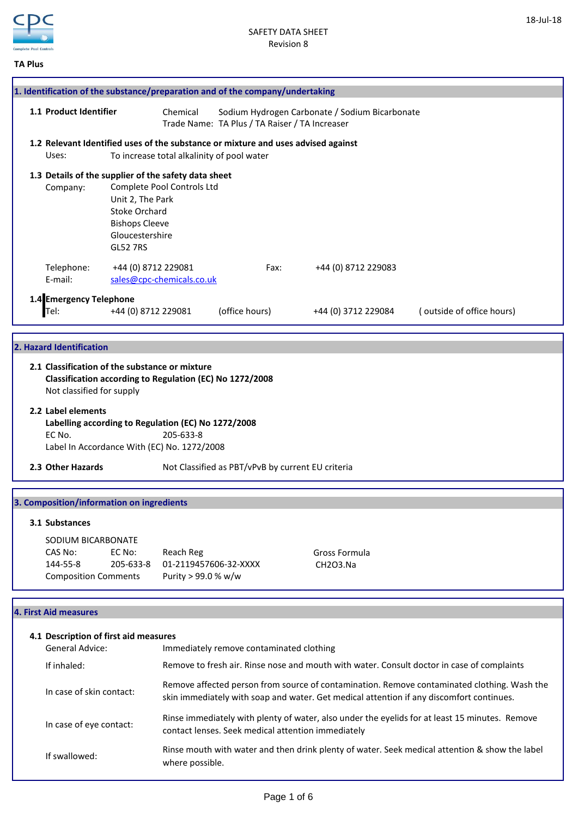

18-Jul-18

|  | ×<br>. .<br>×<br>۰. |
|--|---------------------|
|--|---------------------|

| 1. Identification of the substance/preparation and of the company/undertaking                                                                                                                                                                                                                                                                                                                    |                                                                                                                                                                            |                                          |                                  |                                                                                                  |  |  |  |
|--------------------------------------------------------------------------------------------------------------------------------------------------------------------------------------------------------------------------------------------------------------------------------------------------------------------------------------------------------------------------------------------------|----------------------------------------------------------------------------------------------------------------------------------------------------------------------------|------------------------------------------|----------------------------------|--------------------------------------------------------------------------------------------------|--|--|--|
|                                                                                                                                                                                                                                                                                                                                                                                                  |                                                                                                                                                                            |                                          |                                  |                                                                                                  |  |  |  |
|                                                                                                                                                                                                                                                                                                                                                                                                  | 1.1 Product Identifier<br>Chemical                                                                                                                                         |                                          |                                  | Sodium Hydrogen Carbonate / Sodium Bicarbonate<br>Trade Name: TA Plus / TA Raiser / TA Increaser |  |  |  |
| Uses:                                                                                                                                                                                                                                                                                                                                                                                            | 1.2 Relevant Identified uses of the substance or mixture and uses advised against<br>To increase total alkalinity of pool water                                            |                                          |                                  |                                                                                                  |  |  |  |
| Company:<br><b>GL52 7RS</b>                                                                                                                                                                                                                                                                                                                                                                      | 1.3 Details of the supplier of the safety data sheet<br>Complete Pool Controls Ltd<br>Unit 2, The Park<br><b>Stoke Orchard</b><br><b>Bishops Cleeve</b><br>Gloucestershire |                                          |                                  |                                                                                                  |  |  |  |
| +44 (0) 8712 229081<br>Telephone:<br>E-mail:                                                                                                                                                                                                                                                                                                                                                     | sales@cpc-chemicals.co.uk                                                                                                                                                  | Fax:                                     | +44 (0) 8712 229083              |                                                                                                  |  |  |  |
| 1.4 Emergency Telephone<br>Tel:<br>+44 (0) 8712 229081                                                                                                                                                                                                                                                                                                                                           |                                                                                                                                                                            | (office hours)                           | +44 (0) 3712 229084              | (outside of office hours)                                                                        |  |  |  |
| 2. Hazard Identification<br>2.1 Classification of the substance or mixture<br>Classification according to Regulation (EC) No 1272/2008<br>Not classified for supply<br>2.2 Label elements<br>Labelling according to Regulation (EC) No 1272/2008<br>EC No.<br>205-633-8<br>Label In Accordance With (EC) No. 1272/2008<br>2.3 Other Hazards<br>Not Classified as PBT/vPvB by current EU criteria |                                                                                                                                                                            |                                          |                                  |                                                                                                  |  |  |  |
| 3. Composition/information on ingredients<br>3.1 Substances<br>SODIUM BICARBONATE<br>EC No:<br>CAS No:<br>144-55-8<br>205-633-8<br><b>Composition Comments</b>                                                                                                                                                                                                                                   | Reach Reg<br>01-2119457606-32-XXXX<br>Purity > 99.0 % w/w                                                                                                                  |                                          | <b>Gross Formula</b><br>CH2O3.Na |                                                                                                  |  |  |  |
| <b>4. First Aid measures</b>                                                                                                                                                                                                                                                                                                                                                                     |                                                                                                                                                                            |                                          |                                  |                                                                                                  |  |  |  |
| 4.1 Description of first aid measures<br><b>General Advice:</b>                                                                                                                                                                                                                                                                                                                                  |                                                                                                                                                                            | Immediately remove contaminated clothing |                                  |                                                                                                  |  |  |  |
| If inhaled:                                                                                                                                                                                                                                                                                                                                                                                      |                                                                                                                                                                            |                                          |                                  | Remove to fresh air. Rinse nose and mouth with water. Consult doctor in case of complaints       |  |  |  |

In case of skin contact: Remove affected person from source of contamination. Remove contaminated clothing. Wash the skin immediately with soap and water. Get medical attention if any discomfort continues.

- In case of eye contact: Rinse immediately with plenty of water, also under the eyelids for at least 15 minutes. Remove contact lenses. Seek medical attention immediately
- If swallowed: Rinse mouth with water and then drink plenty of water. Seek medical attention & show the label where possible.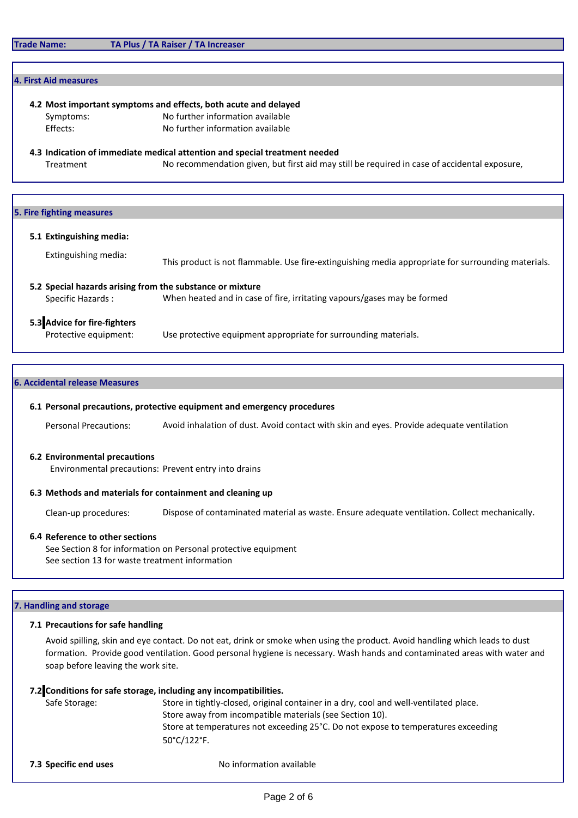# **4. First Aid measures**

**4.2 Most important symptoms and effects, both acute and delayed**

Symptoms: No further information available

Effects: No further information available

**4.3 Indication of immediate medical attention and special treatment needed** Treatment No recommendation given, but first aid may still be required in case of accidental exposure,

## **5. Fire fighting measures**

### **5.1 Extinguishing media:**

This product is not flammable. Use fire-extinguishing media appropriate for surrounding materials. Extinguishing media:

**5.2 Special hazards arising from the substance or mixture** Specific Hazards : When heated and in case of fire, irritating vapours/gases may be formed

# **5.3 Advice for fire-fighters**

Protective equipment: Use protective equipment appropriate for surrounding materials.

## **6. Accidental release Measures**

### **6.1 Personal precautions, protective equipment and emergency procedures**

Personal Precautions: Avoid inhalation of dust. Avoid contact with skin and eyes. Provide adequate ventilation

### **6.2 Environmental precautions**

Environmental precautions: Prevent entry into drains

# **6.3 Methods and materials for containment and cleaning up**

Clean-up procedures: Dispose of contaminated material as waste. Ensure adequate ventilation. Collect mechanically.

# **6.4 Reference to other sections**

See Section 8 for information on Personal protective equipment See section 13 for waste treatment information

# **7. Handling and storage**

# **7.1 Precautions for safe handling**

Avoid spilling, skin and eye contact. Do not eat, drink or smoke when using the product. Avoid handling which leads to dust formation. Provide good ventilation. Good personal hygiene is necessary. Wash hands and contaminated areas with water and soap before leaving the work site.

# **7.2 Conditions for safe storage, including any incompatibilities.**

| Safe Storage: | Store in tightly-closed, original container in a dry, cool and well-ventilated place. |
|---------------|---------------------------------------------------------------------------------------|
|               | Store away from incompatible materials (see Section 10).                              |
|               | Store at temperatures not exceeding 25°C. Do not expose to temperatures exceeding     |
|               | $50^{\circ}$ C/122 $^{\circ}$ F.                                                      |
|               |                                                                                       |

**7.3 Specific end uses** No information available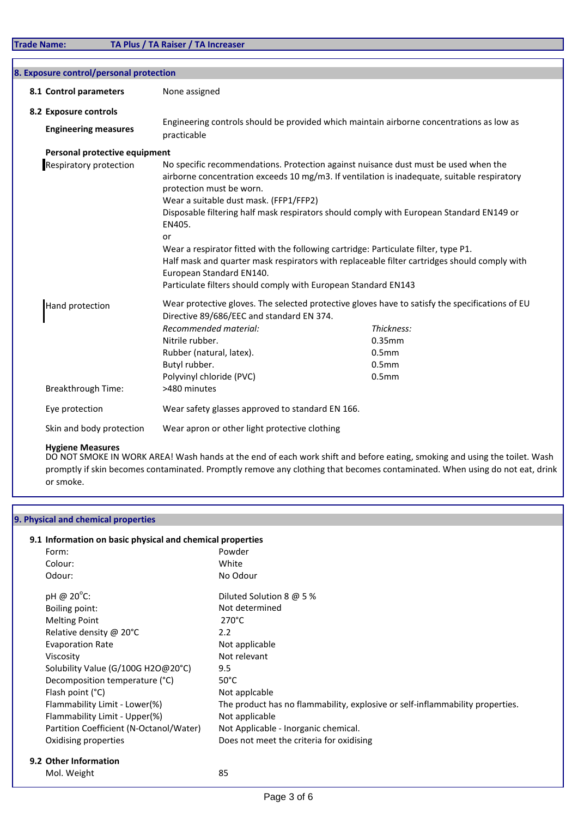| 8.1 Control parameters        | None assigned                                                                                                                                                                    |                                                                                                                                                                                                                                                                                                                                                                                                                                                                       |
|-------------------------------|----------------------------------------------------------------------------------------------------------------------------------------------------------------------------------|-----------------------------------------------------------------------------------------------------------------------------------------------------------------------------------------------------------------------------------------------------------------------------------------------------------------------------------------------------------------------------------------------------------------------------------------------------------------------|
| 8.2 Exposure controls         |                                                                                                                                                                                  |                                                                                                                                                                                                                                                                                                                                                                                                                                                                       |
| <b>Engineering measures</b>   | practicable                                                                                                                                                                      | Engineering controls should be provided which maintain airborne concentrations as low as                                                                                                                                                                                                                                                                                                                                                                              |
| Personal protective equipment |                                                                                                                                                                                  |                                                                                                                                                                                                                                                                                                                                                                                                                                                                       |
| <b>Respiratory protection</b> | protection must be worn.<br>Wear a suitable dust mask. (FFP1/FFP2)<br>EN405.<br>or<br>European Standard EN140.<br>Particulate filters should comply with European Standard EN143 | No specific recommendations. Protection against nuisance dust must be used when the<br>airborne concentration exceeds 10 mg/m3. If ventilation is inadequate, suitable respiratory<br>Disposable filtering half mask respirators should comply with European Standard EN149 or<br>Wear a respirator fitted with the following cartridge: Particulate filter, type P1.<br>Half mask and quarter mask respirators with replaceable filter cartridges should comply with |
| Hand protection               | Directive 89/686/EEC and standard EN 374.<br>Recommended material:<br>Nitrile rubber.<br>Rubber (natural, latex).<br>Butyl rubber.                                               | Wear protective gloves. The selected protective gloves have to satisfy the specifications of EU<br>Thickness:<br>0.35mm<br>0.5 <sub>mm</sub><br>0.5 <sub>mm</sub>                                                                                                                                                                                                                                                                                                     |
| <b>Breakthrough Time:</b>     | Polyvinyl chloride (PVC)<br>>480 minutes                                                                                                                                         | 0.5 <sub>mm</sub>                                                                                                                                                                                                                                                                                                                                                                                                                                                     |
| Eye protection                | Wear safety glasses approved to standard EN 166.                                                                                                                                 |                                                                                                                                                                                                                                                                                                                                                                                                                                                                       |

# **Hygiene Measures**

DO NOT SMOKE IN WORK AREA! Wash hands at the end of each work shift and before eating, smoking and using the toilet. Wash promptly if skin becomes contaminated. Promptly remove any clothing that becomes contaminated. When using do not eat, drink or smoke.

# **9. Physical and chemical properties**

| Form:                                   | Powder                                                                        |
|-----------------------------------------|-------------------------------------------------------------------------------|
| Colour:                                 | White                                                                         |
| Odour:                                  | No Odour                                                                      |
| pH @ 20°C:                              | Diluted Solution 8 @ 5 %                                                      |
| Boiling point:                          | Not determined                                                                |
| <b>Melting Point</b>                    | $270^{\circ}$ C                                                               |
| Relative density @ 20°C                 | 2.2                                                                           |
| <b>Evaporation Rate</b>                 | Not applicable                                                                |
| Viscosity                               | Not relevant                                                                  |
| Solubility Value (G/100G H2O@20°C)      | 9.5                                                                           |
| Decomposition temperature (°C)          | $50^{\circ}$ C                                                                |
| Flash point (°C)                        | Not applcable                                                                 |
| Flammability Limit - Lower(%)           | The product has no flammability, explosive or self-inflammability properties. |
| Flammability Limit - Upper(%)           | Not applicable                                                                |
| Partition Coefficient (N-Octanol/Water) | Not Applicable - Inorganic chemical.                                          |
| Oxidising properties                    | Does not meet the criteria for oxidising                                      |

| Mol. Weight | 85 |
|-------------|----|
|             |    |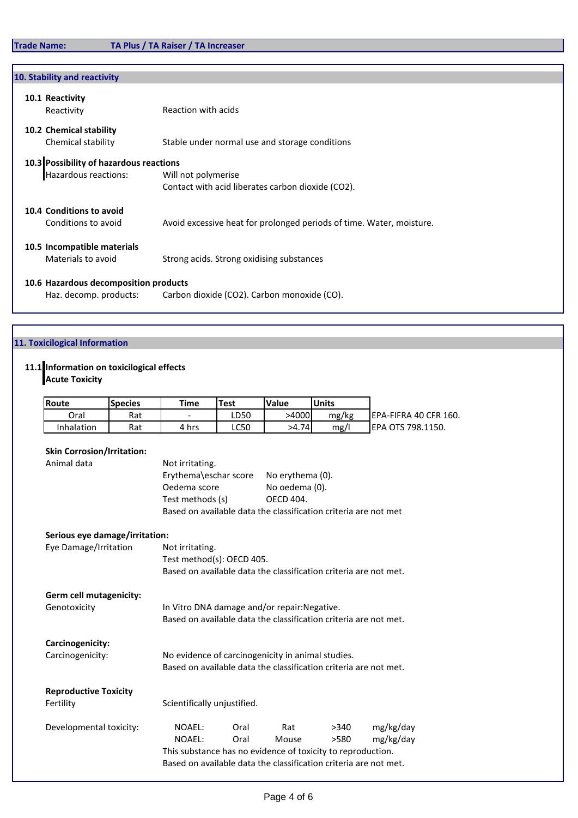| 10. Stability and reactivity                  |                                                                      |
|-----------------------------------------------|----------------------------------------------------------------------|
| 10.1 Reactivity<br>Reactivity                 | Reaction with acids                                                  |
| 10.2 Chemical stability<br>Chemical stability | Stable under normal use and storage conditions                       |
| 10.3 Possibility of hazardous reactions       |                                                                      |
| Hazardous reactions:                          | Will not polymerise                                                  |
|                                               | Contact with acid liberates carbon dioxide (CO2).                    |
| 10.4 Conditions to avoid                      |                                                                      |
| Conditions to avoid                           | Avoid excessive heat for prolonged periods of time. Water, moisture. |
| 10.5 Incompatible materials                   |                                                                      |
| Materials to avoid                            | Strong acids. Strong oxidising substances                            |
| 10.6 Hazardous decomposition products         |                                                                      |
| Haz. decomp. products:                        | Carbon dioxide (CO2). Carbon monoxide (CO).                          |

# **11. Toxicilogical Information**

# **11.1 Information on toxicilogical effects**

**Acute Toxicity**

| <b>Route</b> | <b>Species</b> | Time  | <b>Test</b> | Value | Units |                        |
|--------------|----------------|-------|-------------|-------|-------|------------------------|
| Oral         | Rat            | -     | LD50        | >4000 | mg/kg | IEPA-FIFRA 40 CFR 160. |
| Inhalation   | Rat            | 4 hrs | LC50        | >4.74 | mg/   | EPA OTS 798.1150.      |

| <b>Skin Corrosion/Irritation:</b> |                                                                  |                                                                  |      |           |  |
|-----------------------------------|------------------------------------------------------------------|------------------------------------------------------------------|------|-----------|--|
| Animal data                       | Not irritating.                                                  |                                                                  |      |           |  |
|                                   | Erythema\eschar score                                            | No erythema (0).                                                 |      |           |  |
|                                   | Oedema score                                                     | No oedema (0).                                                   |      |           |  |
|                                   | Test methods (s)                                                 | <b>OECD 404.</b>                                                 |      |           |  |
|                                   | Based on available data the classification criteria are not met  |                                                                  |      |           |  |
| Serious eye damage/irritation:    |                                                                  |                                                                  |      |           |  |
| Eye Damage/Irritation             | Not irritating.                                                  |                                                                  |      |           |  |
|                                   | Test method(s): OECD 405.                                        |                                                                  |      |           |  |
|                                   | Based on available data the classification criteria are not met. |                                                                  |      |           |  |
| Germ cell mutagenicity:           |                                                                  |                                                                  |      |           |  |
| Genotoxicity                      | In Vitro DNA damage and/or repair: Negative.                     |                                                                  |      |           |  |
|                                   | Based on available data the classification criteria are not met. |                                                                  |      |           |  |
| Carcinogenicity:                  |                                                                  |                                                                  |      |           |  |
| Carcinogenicity:                  | No evidence of carcinogenicity in animal studies.                |                                                                  |      |           |  |
|                                   | Based on available data the classification criteria are not met. |                                                                  |      |           |  |
| <b>Reproductive Toxicity</b>      |                                                                  |                                                                  |      |           |  |
| Fertility                         | Scientifically unjustified.                                      |                                                                  |      |           |  |
| Developmental toxicity:           | NOAEL:<br>Oral                                                   | Rat                                                              | >340 | mg/kg/day |  |
|                                   | NOAEL:<br>Oral                                                   | Mouse                                                            | >580 | mg/kg/day |  |
|                                   | This substance has no evidence of toxicity to reproduction.      |                                                                  |      |           |  |
|                                   |                                                                  | Based on available data the classification criteria are not met. |      |           |  |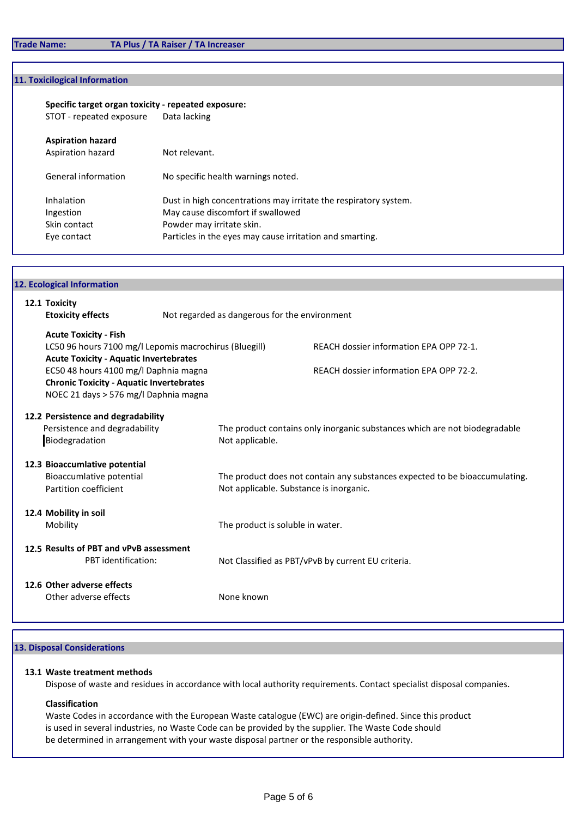# **11. Toxicilogical Information**

# **Specific target organ toxicity - repeated exposure:**

STOT - repeated exposure

| <b>Aspiration hazard</b>                |                                                                                                                                    |
|-----------------------------------------|------------------------------------------------------------------------------------------------------------------------------------|
| Aspiration hazard                       | Not relevant.                                                                                                                      |
| General information                     | No specific health warnings noted.                                                                                                 |
| Inhalation<br>Ingestion<br>Skin contact | Dust in high concentrations may irritate the respiratory system.<br>May cause discomfort if swallowed<br>Powder may irritate skin. |
| Eye contact                             | Particles in the eyes may cause irritation and smarting.                                                                           |

| 12. Ecological Information                                                                              |                                               |                                                                             |  |
|---------------------------------------------------------------------------------------------------------|-----------------------------------------------|-----------------------------------------------------------------------------|--|
| 12.1 Toxicity                                                                                           |                                               |                                                                             |  |
| <b>Etoxicity effects</b>                                                                                | Not regarded as dangerous for the environment |                                                                             |  |
|                                                                                                         |                                               |                                                                             |  |
| <b>Acute Toxicity - Fish</b>                                                                            |                                               | REACH dossier information EPA OPP 72-1.                                     |  |
| LC50 96 hours 7100 mg/l Lepomis macrochirus (Bluegill)<br><b>Acute Toxicity - Aquatic Invertebrates</b> |                                               |                                                                             |  |
| EC50 48 hours 4100 mg/l Daphnia magna                                                                   |                                               | REACH dossier information EPA OPP 72-2.                                     |  |
| <b>Chronic Toxicity - Aquatic Invertebrates</b>                                                         |                                               |                                                                             |  |
| NOEC 21 days > 576 mg/l Daphnia magna                                                                   |                                               |                                                                             |  |
|                                                                                                         |                                               |                                                                             |  |
| 12.2 Persistence and degradability                                                                      |                                               |                                                                             |  |
| Persistence and degradability                                                                           |                                               | The product contains only inorganic substances which are not biodegradable  |  |
| Biodegradation                                                                                          | Not applicable.                               |                                                                             |  |
|                                                                                                         |                                               |                                                                             |  |
| 12.3 Bioaccumlative potential<br>Bioaccumlative potential                                               |                                               | The product does not contain any substances expected to be bioaccumulating. |  |
| Partition coefficient                                                                                   |                                               | Not applicable. Substance is inorganic.                                     |  |
|                                                                                                         |                                               |                                                                             |  |
| 12.4 Mobility in soil                                                                                   |                                               |                                                                             |  |
| Mobility                                                                                                | The product is soluble in water.              |                                                                             |  |
|                                                                                                         |                                               |                                                                             |  |
| 12.5 Results of PBT and vPvB assessment                                                                 |                                               |                                                                             |  |
| PBT identification:                                                                                     |                                               | Not Classified as PBT/vPvB by current EU criteria.                          |  |
|                                                                                                         |                                               |                                                                             |  |
| 12.6 Other adverse effects                                                                              |                                               |                                                                             |  |
| Other adverse effects                                                                                   | None known                                    |                                                                             |  |

# **13. Disposal Considerations**

## **13.1 Waste treatment methods**

Dispose of waste and residues in accordance with local authority requirements. Contact specialist disposal companies.

# **Classification**

Waste Codes in accordance with the European Waste catalogue (EWC) are origin-defined. Since this product is used in several industries, no Waste Code can be provided by the supplier. The Waste Code should be determined in arrangement with your waste disposal partner or the responsible authority.